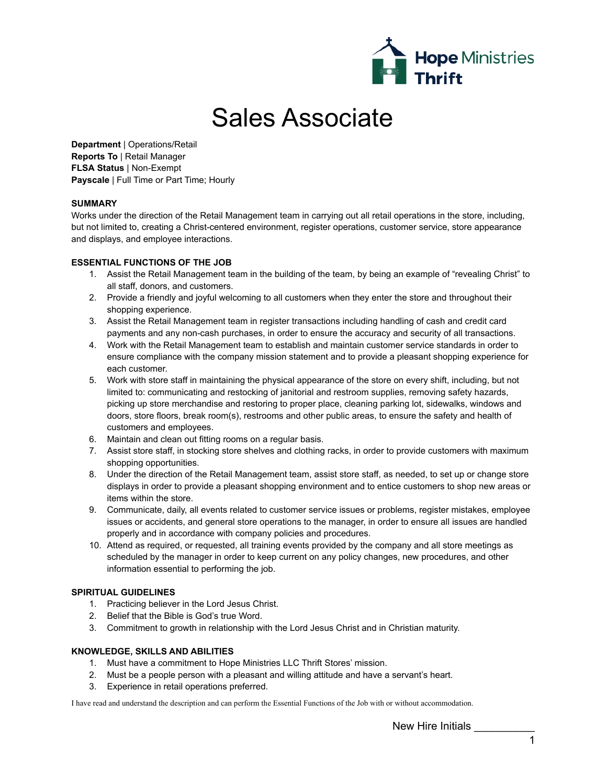

# Sales Associate

**Department** | Operations/Retail **Reports To** | Retail Manager **FLSA Status** | Non-Exempt **Payscale** | Full Time or Part Time; Hourly

## **SUMMARY**

Works under the direction of the Retail Management team in carrying out all retail operations in the store, including, but not limited to, creating a Christ-centered environment, register operations, customer service, store appearance and displays, and employee interactions.

## **ESSENTIAL FUNCTIONS OF THE JOB**

- 1. Assist the Retail Management team in the building of the team, by being an example of "revealing Christ" to all staff, donors, and customers.
- 2. Provide a friendly and joyful welcoming to all customers when they enter the store and throughout their shopping experience.
- 3. Assist the Retail Management team in register transactions including handling of cash and credit card payments and any non-cash purchases, in order to ensure the accuracy and security of all transactions.
- 4. Work with the Retail Management team to establish and maintain customer service standards in order to ensure compliance with the company mission statement and to provide a pleasant shopping experience for each customer.
- 5. Work with store staff in maintaining the physical appearance of the store on every shift, including, but not limited to: communicating and restocking of janitorial and restroom supplies, removing safety hazards, picking up store merchandise and restoring to proper place, cleaning parking lot, sidewalks, windows and doors, store floors, break room(s), restrooms and other public areas, to ensure the safety and health of customers and employees.
- 6. Maintain and clean out fitting rooms on a regular basis.
- 7. Assist store staff, in stocking store shelves and clothing racks, in order to provide customers with maximum shopping opportunities.
- 8. Under the direction of the Retail Management team, assist store staff, as needed, to set up or change store displays in order to provide a pleasant shopping environment and to entice customers to shop new areas or items within the store.
- 9. Communicate, daily, all events related to customer service issues or problems, register mistakes, employee issues or accidents, and general store operations to the manager, in order to ensure all issues are handled properly and in accordance with company policies and procedures.
- 10. Attend as required, or requested, all training events provided by the company and all store meetings as scheduled by the manager in order to keep current on any policy changes, new procedures, and other information essential to performing the job.

## **SPIRITUAL GUIDELINES**

- 1. Practicing believer in the Lord Jesus Christ.
- 2. Belief that the Bible is God's true Word.
- 3. Commitment to growth in relationship with the Lord Jesus Christ and in Christian maturity.

## **KNOWLEDGE, SKILLS AND ABILITIES**

- 1. Must have a commitment to Hope Ministries LLC Thrift Stores' mission.
- 2. Must be a people person with a pleasant and willing attitude and have a servant's heart.
- 3. Experience in retail operations preferred.

I have read and understand the description and can perform the Essential Functions of the Job with or without accommodation.

New Hire Initials